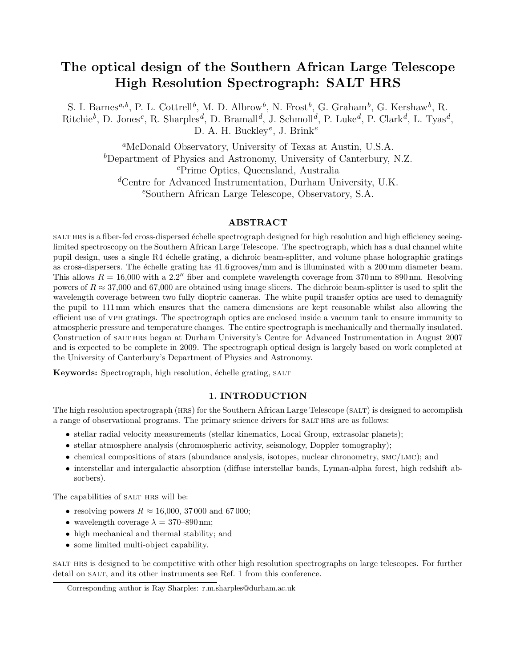# The optical design of the Southern African Large Telescope High Resolution Spectrograph: SALT HRS

S. I. Barnes<sup>*a,b*</sup>, P. L. Cottrell<sup>b</sup>, M. D. Albrow<sup>b</sup>, N. Frost<sup>b</sup>, G. Graham<sup>b</sup>, G. Kershaw<sup>b</sup>, R. Ritchie<sup>b</sup>, D. Jones<sup>c</sup>, R. Sharples<sup>d</sup>, D. Bramall<sup>d</sup>, J. Schmoll<sup>d</sup>, P. Luke<sup>d</sup>, P. Clark<sup>d</sup>, L. Tyas<sup>d</sup>, D. A. H. Buckley<sup>e</sup>, J. Brink<sup>e</sup>

> <sup>a</sup>McDonald Observatory, University of Texas at Austin, U.S.A.  $b$ Department of Physics and Astronomy, University of Canterbury, N.Z. <sup>c</sup>Prime Optics, Queensland, Australia  ${}^d$ Centre for Advanced Instrumentation, Durham University, U.K. <sup>e</sup>Southern African Large Telescope, Observatory, S.A.

# ABSTRACT

salt hrs is a fiber-fed cross-dispersed échelle spectrograph designed for high resolution and high efficiency seeinglimited spectroscopy on the Southern African Large Telescope. The spectrograph, which has a dual channel white pupil design, uses a single R4 ´echelle grating, a dichroic beam-splitter, and volume phase holographic gratings as cross-dispersers. The échelle grating has 41.6 grooves/mm and is illuminated with a 200 mm diameter beam. This allows  $R = 16,000$  with a 2.2" fiber and complete wavelength coverage from 370 nm to 890 nm. Resolving powers of  $R \approx 37,000$  and 67,000 are obtained using image slicers. The dichroic beam-splitter is used to split the wavelength coverage between two fully dioptric cameras. The white pupil transfer optics are used to demagnify the pupil to 111 mm which ensures that the camera dimensions are kept reasonable whilst also allowing the efficient use of vph gratings. The spectrograph optics are enclosed inside a vacuum tank to ensure immunity to atmospheric pressure and temperature changes. The entire spectrograph is mechanically and thermally insulated. Construction of salt hrs began at Durham University's Centre for Advanced Instrumentation in August 2007 and is expected to be complete in 2009. The spectrograph optical design is largely based on work completed at the University of Canterbury's Department of Physics and Astronomy.

Keywords: Spectrograph, high resolution, échelle grating, SALT

# 1. INTRODUCTION

The high resolution spectrograph (HRS) for the Southern African Large Telescope (SALT) is designed to accomplish a range of observational programs. The primary science drivers for salt hrs are as follows:

- stellar radial velocity measurements (stellar kinematics, Local Group, extrasolar planets);
- stellar atmosphere analysis (chromospheric activity, seismology, Doppler tomography);
- chemical compositions of stars (abundance analysis, isotopes, nuclear chronometry, smc/lmc); and
- interstellar and intergalactic absorption (diffuse interstellar bands, Lyman-alpha forest, high redshift absorbers).

The capabilities of SALT HRS will be:

- resolving powers  $R \approx 16,000, 37,000$  and 67,000;
- wavelength coverage  $\lambda = 370 890$  nm;
- high mechanical and thermal stability; and
- some limited multi-object capability.

salt hrs is designed to be competitive with other high resolution spectrographs on large telescopes. For further detail on SALT, and its other instruments see Ref. 1 from this conference.

Corresponding author is Ray Sharples: r.m.sharples@durham.ac.uk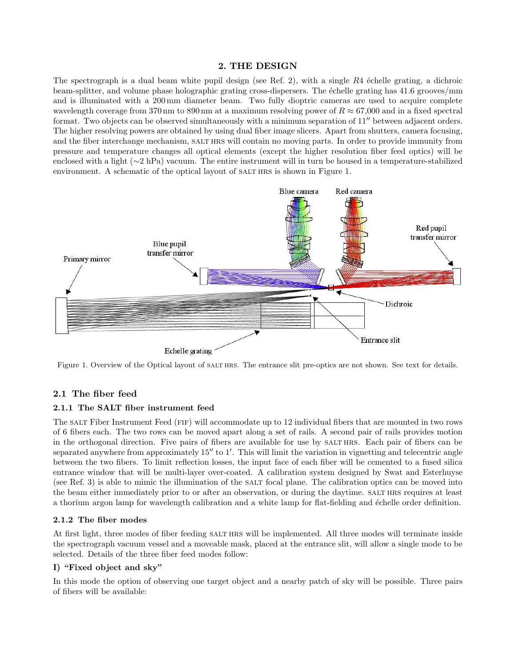#### 2. THE DESIGN

The spectrograph is a dual beam white pupil design (see Ref. 2), with a single  $R4$  échelle grating, a dichroic beam-splitter, and volume phase holographic grating cross-dispersers. The ´echelle grating has 41.6 grooves/mm and is illuminated with a 200 mm diameter beam. Two fully dioptric cameras are used to acquire complete wavelength coverage from 370 nm to 890 nm at a maximum resolving power of  $R \approx 67,000$  and in a fixed spectral format. Two objects can be observed simultaneously with a minimum separation of  $11''$  between adjacent orders. The higher resolving powers are obtained by using dual fiber image slicers. Apart from shutters, camera focusing, and the fiber interchange mechanism, SALT HRS will contain no moving parts. In order to provide immunity from pressure and temperature changes all optical elements (except the higher resolution fiber feed optics) will be enclosed with a light (∼2 hPa) vacuum. The entire instrument will in turn be housed in a temperature-stabilized environment. A schematic of the optical layout of SALT HRS is shown in Figure 1.



Figure 1. Overview of the Optical layout of SALT HRS. The entrance slit pre-optics are not shown. See text for details.

# 2.1 The fiber feed

## 2.1.1 The SALT fiber instrument feed

The salt Fiber Instrument Feed (fif) will accommodate up to 12 individual fibers that are mounted in two rows of 6 fibers each. The two rows can be moved apart along a set of rails. A second pair of rails provides motion in the orthogonal direction. Five pairs of fibers are available for use by salt hrs. Each pair of fibers can be separated anywhere from approximately 15" to 1'. This will limit the variation in vignetting and telecentric angle between the two fibers. To limit reflection losses, the input face of each fiber will be cemented to a fused silica entrance window that will be multi-layer over-coated. A calibration system designed by Swat and Esterhuyse (see Ref. 3) is able to mimic the illumination of the SALT focal plane. The calibration optics can be moved into the beam either immediately prior to or after an observation, or during the daytime. SALT HRS requires at least a thorium argon lamp for wavelength calibration and a white lamp for flat-fielding and échelle order definition.

#### 2.1.2 The fiber modes

At first light, three modes of fiber feeding SALT HRS will be implemented. All three modes will terminate inside the spectrograph vacuum vessel and a moveable mask, placed at the entrance slit, will allow a single mode to be selected. Details of the three fiber feed modes follow:

#### I) "Fixed object and sky"

In this mode the option of observing one target object and a nearby patch of sky will be possible. Three pairs of fibers will be available: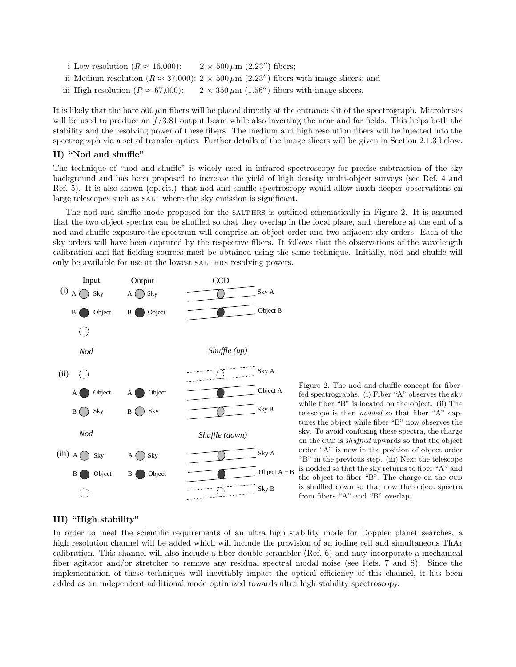- i Low resolution  $(R \approx 16,000)$ :  $2 \times 500 \,\mu \text{m}$  (2.23") fibers;
- ii Medium resolution ( $R \approx 37,000$ ):  $2 \times 500 \,\mu \text{m}$  (2.23") fibers with image slicers; and
- iii High resolution  $(R \approx 67,000)$ :  $2 \times 350 \,\mu \text{m}$  (1.56<sup>0</sup>) fibers with image slicers.

It is likely that the bare  $500 \mu m$  fibers will be placed directly at the entrance slit of the spectrograph. Microlenses will be used to produce an  $f/3.81$  output beam while also inverting the near and far fields. This helps both the stability and the resolving power of these fibers. The medium and high resolution fibers will be injected into the spectrograph via a set of transfer optics. Further details of the image slicers will be given in Section 2.1.3 below.

#### II) "Nod and shuffle"

The technique of "nod and shuffle" is widely used in infrared spectroscopy for precise subtraction of the sky background and has been proposed to increase the yield of high density multi-object surveys (see Ref. 4 and Ref. 5). It is also shown (op. cit.) that nod and shuffle spectroscopy would allow much deeper observations on large telescopes such as SALT where the sky emission is significant.

The nod and shuffle mode proposed for the SALT HRS is outlined schematically in Figure 2. It is assumed that the two object spectra can be shuffled so that they overlap in the focal plane, and therefore at the end of a nod and shuffle exposure the spectrum will comprise an object order and two adjacent sky orders. Each of the sky orders will have been captured by the respective fibers. It follows that the observations of the wavelength calibration and flat-fielding sources must be obtained using the same technique. Initially, nod and shuffle will only be available for use at the lowest SALT HRS resolving powers.



Figure 2. The nod and shuffle concept for fiberfed spectrographs. (i) Fiber "A" observes the sky while fiber "B" is located on the object. (ii) The telescope is then *nodded* so that fiber "A" captures the object while fiber "B" now observes the sky. To avoid confusing these spectra, the charge on the CCD is *shuffled* upwards so that the object order "A" is now in the position of object order "B" in the previous step. (iii) Next the telescope is nodded so that the sky returns to fiber "A" and the object to fiber "B". The charge on the CCD is shuffled down so that now the object spectra from fibers "A" and "B" overlap.

# III) "High stability"

In order to meet the scientific requirements of an ultra high stability mode for Doppler planet searches, a high resolution channel will be added which will include the provision of an iodine cell and simultaneous ThAr calibration. This channel will also include a fiber double scrambler (Ref. 6) and may incorporate a mechanical fiber agitator and/or stretcher to remove any residual spectral modal noise (see Refs. 7 and 8). Since the implementation of these techniques will inevitably impact the optical efficiency of this channel, it has been added as an independent additional mode optimized towards ultra high stability spectroscopy.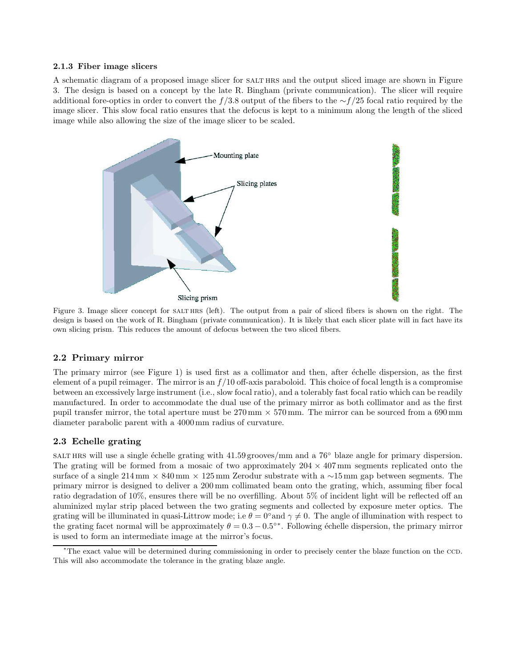#### 2.1.3 Fiber image slicers

A schematic diagram of a proposed image slicer for salt hrs and the output sliced image are shown in Figure 3. The design is based on a concept by the late R. Bingham (private communication). The slicer will require additional fore-optics in order to convert the f/3.8 output of the fibers to the ∼f/25 focal ratio required by the image slicer. This slow focal ratio ensures that the defocus is kept to a minimum along the length of the sliced image while also allowing the size of the image slicer to be scaled.



Figure 3. Image slicer concept for SALTHRS (left). The output from a pair of sliced fibers is shown on the right. The design is based on the work of R. Bingham (private communication). It is likely that each slicer plate will in fact have its own slicing prism. This reduces the amount of defocus between the two sliced fibers.

## 2.2 Primary mirror

The primary mirror (see Figure 1) is used first as a collimator and then, after échelle dispersion, as the first element of a pupil reimager. The mirror is an  $f/10$  off-axis paraboloid. This choice of focal length is a compromise between an excessively large instrument (i.e., slow focal ratio), and a tolerably fast focal ratio which can be readily manufactured. In order to accommodate the dual use of the primary mirror as both collimator and as the first pupil transfer mirror, the total aperture must be  $270 \text{ mm} \times 570 \text{ mm}$ . The mirror can be sourced from a 690 mm diameter parabolic parent with a 4000mm radius of curvature.

#### 2.3 Echelle grating

SALT HRS will use a single échelle grating with  $41.59$  grooves/mm and a  $76°$  blaze angle for primary dispersion. The grating will be formed from a mosaic of two approximately  $204 \times 407$  mm segments replicated onto the surface of a single 214 mm × 840 mm × 125 mm Zerodur substrate with a ∼15 mm gap between segments. The primary mirror is designed to deliver a 200 mm collimated beam onto the grating, which, assuming fiber focal ratio degradation of 10%, ensures there will be no overfilling. About 5% of incident light will be reflected off an aluminized mylar strip placed between the two grating segments and collected by exposure meter optics. The grating will be illuminated in quasi-Littrow mode; i.e  $\theta = 0^{\circ}$  and  $\gamma \neq 0$ . The angle of illumination with respect to the grating facet normal will be approximately  $\theta = 0.3 - 0.5^{\circ*}$ . Following échelle dispersion, the primary mirror is used to form an intermediate image at the mirror's focus.

<sup>∗</sup>The exact value will be determined during commissioning in order to precisely center the blaze function on the ccd. This will also accommodate the tolerance in the grating blaze angle.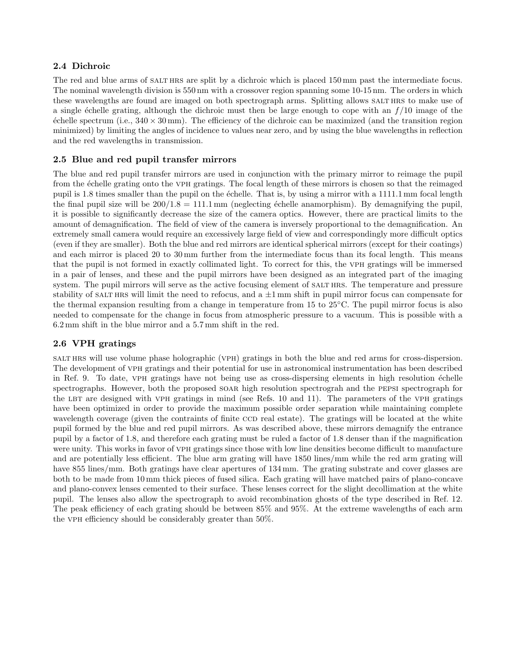# 2.4 Dichroic

The red and blue arms of SALT HRS are split by a dichroic which is placed 150 mm past the intermediate focus. The nominal wavelength division is 550 nm with a crossover region spanning some 10-15 nm. The orders in which these wavelengths are found are imaged on both spectrograph arms. Splitting allows SALT HRS to make use of a single échelle grating, although the dichroic must then be large enough to cope with an  $f/10$  image of the  $\acute{e}$ chelle spectrum (i.e.,  $340 \times 30 \text{ mm}$ ). The efficiency of the dichroic can be maximized (and the transition region minimized) by limiting the angles of incidence to values near zero, and by using the blue wavelengths in reflection and the red wavelengths in transmission.

# 2.5 Blue and red pupil transfer mirrors

The blue and red pupil transfer mirrors are used in conjunction with the primary mirror to reimage the pupil from the échelle grating onto the VPH gratings. The focal length of these mirrors is chosen so that the reimaged pupil is 1.8 times smaller than the pupil on the échelle. That is, by using a mirror with a 1111.1 mm focal length the final pupil size will be  $200/1.8 = 111.1$  mm (neglecting échelle anamorphism). By demagnifying the pupil, it is possible to significantly decrease the size of the camera optics. However, there are practical limits to the amount of demagnification. The field of view of the camera is inversely proportional to the demagnification. An extremely small camera would require an excessively large field of view and correspondingly more difficult optics (even if they are smaller). Both the blue and red mirrors are identical spherical mirrors (except for their coatings) and each mirror is placed 20 to 30 mm further from the intermediate focus than its focal length. This means that the pupil is not formed in exactly collimated light. To correct for this, the vph gratings will be immersed in a pair of lenses, and these and the pupil mirrors have been designed as an integrated part of the imaging system. The pupil mirrors will serve as the active focusing element of SALT HRS. The temperature and pressure stability of SALT HRS will limit the need to refocus, and a  $\pm 1$  mm shift in pupil mirror focus can compensate for the thermal expansion resulting from a change in temperature from 15 to 25◦C. The pupil mirror focus is also needed to compensate for the change in focus from atmospheric pressure to a vacuum. This is possible with a 6.2 mm shift in the blue mirror and a 5.7 mm shift in the red.

# 2.6 VPH gratings

salt hrs will use volume phase holographic (vph) gratings in both the blue and red arms for cross-dispersion. The development of vph gratings and their potential for use in astronomical instrumentation has been described in Ref. 9. To date, VPH gratings have not being use as cross-dispersing elements in high resolution échelle spectrographs. However, both the proposed soar high resolution spectrograh and the pepsi spectrograph for the LBT are designed with VPH gratings in mind (see Refs. 10 and 11). The parameters of the VPH gratings have been optimized in order to provide the maximum possible order separation while maintaining complete wavelength coverage (given the contraints of finite CCD real estate). The gratings will be located at the white pupil formed by the blue and red pupil mirrors. As was described above, these mirrors demagnify the entrance pupil by a factor of 1.8, and therefore each grating must be ruled a factor of 1.8 denser than if the magnification were unity. This works in favor of vph gratings since those with low line densities become difficult to manufacture and are potentially less efficient. The blue arm grating will have 1850 lines/mm while the red arm grating will have 855 lines/mm. Both gratings have clear apertures of  $134 \text{ mm}$ . The grating substrate and cover glasses are both to be made from 10 mm thick pieces of fused silica. Each grating will have matched pairs of plano-concave and plano-convex lenses cemented to their surface. These lenses correct for the slight decollimation at the white pupil. The lenses also allow the spectrograph to avoid recombination ghosts of the type described in Ref. 12. The peak efficiency of each grating should be between 85% and 95%. At the extreme wavelengths of each arm the vph efficiency should be considerably greater than 50%.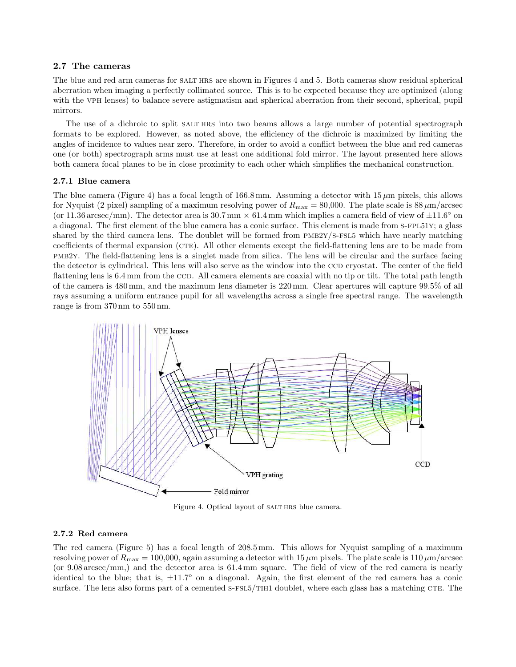#### 2.7 The cameras

The blue and red arm cameras for SALT HRS are shown in Figures 4 and 5. Both cameras show residual spherical aberration when imaging a perfectly collimated source. This is to be expected because they are optimized (along with the VPH lenses) to balance severe astigmatism and spherical aberration from their second, spherical, pupil mirrors.

The use of a dichroic to split SALT HRS into two beams allows a large number of potential spectrograph formats to be explored. However, as noted above, the efficiency of the dichroic is maximized by limiting the angles of incidence to values near zero. Therefore, in order to avoid a conflict between the blue and red cameras one (or both) spectrograph arms must use at least one additional fold mirror. The layout presented here allows both camera focal planes to be in close proximity to each other which simplifies the mechanical construction.

#### 2.7.1 Blue camera

The blue camera (Figure 4) has a focal length of  $166.8 \text{ mm}$ . Assuming a detector with  $15 \mu \text{m}$  pixels, this allows for Nyquist (2 pixel) sampling of a maximum resolving power of  $R_{\text{max}} = 80,000$ . The plate scale is  $88 \mu$ m/arcsec (or 11.36 arcsec/mm). The detector area is  $30.7 \text{ mm} \times 61.4 \text{ mm}$  which implies a camera field of view of  $\pm 11.6^{\circ}$  on a diagonal. The first element of the blue camera has a conic surface. This element is made from s-fpl51y; a glass shared by the third camera lens. The doublet will be formed from PMB2Y/S-FSL5 which have nearly matching coefficients of thermal expansion (CTE). All other elements except the field-flattening lens are to be made from pmb2y. The field-flattening lens is a singlet made from silica. The lens will be circular and the surface facing the detector is cylindrical. This lens will also serve as the window into the CCD cryostat. The center of the field flattening lens is 6.4 mm from the CCD. All camera elements are coaxial with no tip or tilt. The total path length of the camera is 480 mm, and the maximum lens diameter is 220 mm. Clear apertures will capture 99.5% of all rays assuming a uniform entrance pupil for all wavelengths across a single free spectral range. The wavelength range is from 370 nm to 550 nm.



Figure 4. Optical layout of SALT HRS blue camera.

# 2.7.2 Red camera

The red camera (Figure 5) has a focal length of 208.5 mm. This allows for Nyquist sampling of a maximum resolving power of  $R_{\text{max}} = 100,000$ , again assuming a detector with  $15 \,\mu\text{m}$  pixels. The plate scale is  $110 \,\mu\text{m}/\text{arcsec}$ (or 9.08 arcsec/mm,) and the detector area is 61.4 mm square. The field of view of the red camera is nearly identical to the blue; that is,  $\pm 11.7^\circ$  on a diagonal. Again, the first element of the red camera has a conic surface. The lens also forms part of a cemented  $S-FSL5/THH$  doublet, where each glass has a matching CTE. The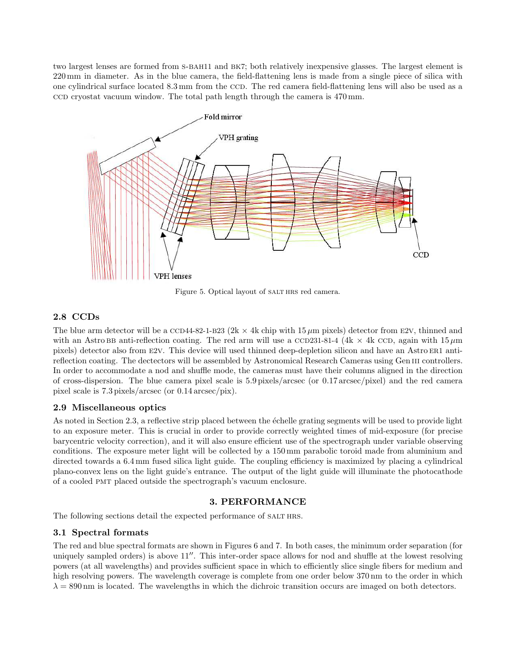two largest lenses are formed from s-bah11 and bk7; both relatively inexpensive glasses. The largest element is 220 mm in diameter. As in the blue camera, the field-flattening lens is made from a single piece of silica with one cylindrical surface located 8.3 mm from the CCD. The red camera field-flattening lens will also be used as a ccD cryostat vacuum window. The total path length through the camera is 470 mm.



Figure 5. Optical layout of SALT HRS red camera.

# 2.8 CCDs

The blue arm detector will be a CCD44-82-1-B23 (2k  $\times$  4k chip with 15  $\mu$ m pixels) detector from E2V, thinned and with an Astro BB anti-reflection coating. The red arm will use a CCD231-81-4 (4k  $\times$  4k CCD, again with 15  $\mu$ m pixels) detector also from e2v. This device will used thinned deep-depletion silicon and have an Astro er1 antireflection coating. The dectectors will be assembled by Astronomical Research Cameras using Gen III controllers. In order to accommodate a nod and shuffle mode, the cameras must have their columns aligned in the direction of cross-dispersion. The blue camera pixel scale is 5.9 pixels/arcsec (or 0.17 arcsec/pixel) and the red camera pixel scale is 7.3 pixels/arcsec (or 0.14 arcsec/pix).

# 2.9 Miscellaneous optics

As noted in Section 2.3, a reflective strip placed between the échelle grating segments will be used to provide light to an exposure meter. This is crucial in order to provide correctly weighted times of mid-exposure (for precise barycentric velocity correction), and it will also ensure efficient use of the spectrograph under variable observing conditions. The exposure meter light will be collected by a 150 mm parabolic toroid made from aluminium and directed towards a 6.4 mm fused silica light guide. The coupling efficiency is maximized by placing a cylindrical plano-convex lens on the light guide's entrance. The output of the light guide will illuminate the photocathode of a cooled pmt placed outside the spectrograph's vacuum enclosure.

# 3. PERFORMANCE

The following sections detail the expected performance of SALT HRS.

# 3.1 Spectral formats

The red and blue spectral formats are shown in Figures 6 and 7. In both cases, the minimum order separation (for uniquely sampled orders) is above  $11$ ". This inter-order space allows for nod and shuffle at the lowest resolving powers (at all wavelengths) and provides sufficient space in which to efficiently slice single fibers for medium and high resolving powers. The wavelength coverage is complete from one order below 370 nm to the order in which  $\lambda = 890 \,\text{nm}$  is located. The wavelengths in which the dichroic transition occurs are imaged on both detectors.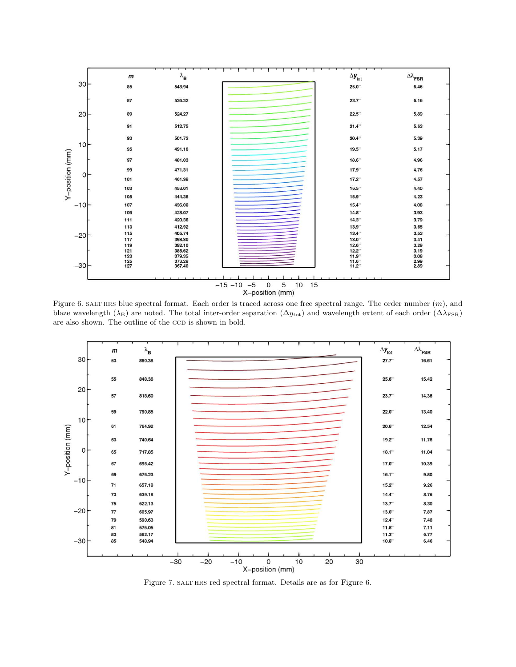

Figure 6. SALT HRS blue spectral format. Each order is traced across one free spectral range. The order number  $(m)$ , and blaze wavelength ( $\lambda_B$ ) are noted. The total inter-order separation ( $\Delta y_{\text{tot}}$ ) and wavelength extent of each order ( $\Delta \lambda_{\text{FSR}}$ ) are also shown. The outline of the CCD is shown in bold.



Figure 7. salt hrs red spectral format. Details are as for Figure 6.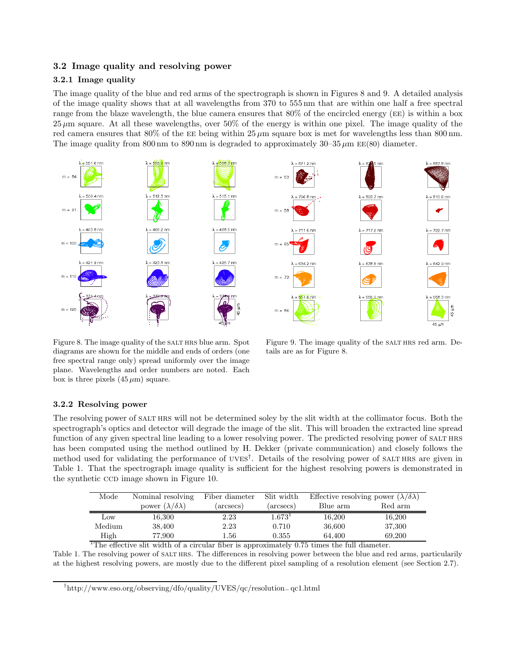# 3.2 Image quality and resolving power

# 3.2.1 Image quality

The image quality of the blue and red arms of the spectrograph is shown in Figures 8 and 9. A detailed analysis of the image quality shows that at all wavelengths from 370 to 555 nm that are within one half a free spectral range from the blaze wavelength, the blue camera ensures that  $80\%$  of the encircled energy (EE) is within a box  $25 \,\mu m$  square. At all these wavelengths, over  $50\%$  of the energy is within one pixel. The image quality of the red camera ensures that  $80\%$  of the EE being within  $25 \,\mu\text{m}$  square box is met for wavelengths less than  $800 \,\text{nm}$ . The image quality from 800 nm to 890 nm is degraded to approximately  $30-35 \mu$ m EE(80) diameter.



Figure 8. The image quality of the SALT HRS blue arm. Spot diagrams are shown for the middle and ends of orders (one free spectral range only) spread uniformly over the image plane. Wavelengths and order numbers are noted. Each box is three pixels  $(45 \,\mu\text{m})$  square.

Figure 9. The image quality of the SALT HRS red arm. Details are as for Figure 8.

## 3.2.2 Resolving power

The resolving power of SALT HRS will not be determined soley by the slit width at the collimator focus. Both the spectrograph's optics and detector will degrade the image of the slit. This will broaden the extracted line spread function of any given spectral line leading to a lower resolving power. The predicted resolving power of SALT HRS has been computed using the method outlined by H. Dekker (private communication) and closely follows the method used for validating the performance of UVES<sup>†</sup>. Details of the resolving power of SALT HRS are given in Table 1. That the spectrograph image quality is sufficient for the highest resolving powers is demonstrated in the synthetic CCD image shown in Figure 10.

| Mode                                 | Nominal resolving               | Fiber diameter | Slit width         | Effective resolving power $(\lambda/\delta\lambda)$ |         |  |
|--------------------------------------|---------------------------------|----------------|--------------------|-----------------------------------------------------|---------|--|
|                                      | power $(\lambda/\delta\lambda)$ | (arcsecs)      | (arcsecs)          | Blue arm                                            | Red arm |  |
| Low                                  | 16,300                          | 2.23           | $1.673 ^{\tiny 1}$ | 16.200                                              | 16,200  |  |
| Medium                               | 38,400                          | 2.23           | 0.710              | 36,600                                              | 37,300  |  |
| High<br>and the contract of the con- | 77,900                          | 1.56           | 0.355              | 64.400                                              | 69.200  |  |

<sup>1</sup>The effective slit width of a circular fiber is approximately 0.75 times the full diameter. Table 1. The resolving power of salt hrs. The differences in resolving power between the blue and red arms, particularily at the highest resolving powers, are mostly due to the different pixel sampling of a resolution element (see Section 2.7).

<sup>†</sup> http://www.eso.org/observing/dfo/quality/UVES/qc/resolution<sup>−</sup> qc1.html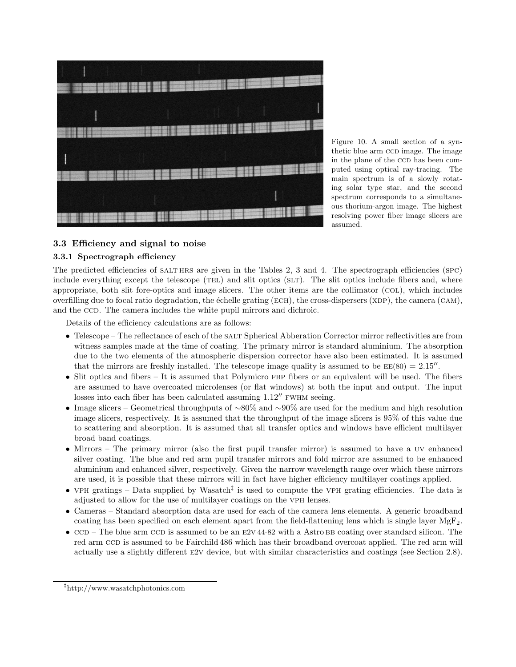

Figure 10. A small section of a synthetic blue arm CCD image. The image in the plane of the CCD has been computed using optical ray-tracing. The main spectrum is of a slowly rotating solar type star, and the second spectrum corresponds to a simultaneous thorium-argon image. The highest resolving power fiber image slicers are assumed.

# 3.3 Efficiency and signal to noise

# 3.3.1 Spectrograph efficiency

The predicted efficiencies of salt hrs are given in the Tables 2, 3 and 4. The spectrograph efficiencies (spc) include everything except the telescope (TEL) and slit optics (SLT). The slit optics include fibers and, where appropriate, both slit fore-optics and image slicers. The other items are the collimator (COL), which includes overfilling due to focal ratio degradation, the échelle grating (ECH), the cross-dispersers (XDP), the camera (CAM), and the CCD. The camera includes the white pupil mirrors and dichroic.

Details of the efficiency calculations are as follows:

- Telescope The reflectance of each of the SALT Spherical Abberation Corrector mirror reflectivities are from witness samples made at the time of coating. The primary mirror is standard aluminium. The absorption due to the two elements of the atmospheric dispersion corrector have also been estimated. It is assumed that the mirrors are freshly installed. The telescope image quality is assumed to be  $EE(80) = 2.15''$ .
- Slit optics and fibers It is assumed that Polymicro FBP fibers or an equivalent will be used. The fibers are assumed to have overcoated microlenses (or flat windows) at both the input and output. The input losses into each fiber has been calculated assuming  $1.12$ <sup>"</sup> FWHM seeing.
- Image slicers Geometrical throughputs of ∼80% and ∼90% are used for the medium and high resolution image slicers, respectively. It is assumed that the throughput of the image slicers is 95% of this value due to scattering and absorption. It is assumed that all transfer optics and windows have efficient multilayer broad band coatings.
- Mirrors The primary mirror (also the first pupil transfer mirror) is assumed to have a UV enhanced silver coating. The blue and red arm pupil transfer mirrors and fold mirror are assumed to be enhanced aluminium and enhanced silver, respectively. Given the narrow wavelength range over which these mirrors are used, it is possible that these mirrors will in fact have higher efficiency multilayer coatings applied.
- VPH gratings Data supplied by Wasatch<sup> $\ddagger$ </sup> is used to compute the VPH grating efficiencies. The data is adjusted to allow for the use of multilayer coatings on the vph lenses.
- Cameras Standard absorption data are used for each of the camera lens elements. A generic broadband coating has been specified on each element apart from the field-flattening lens which is single layer  $MgF_2$ .
- $\text{CCD}$  The blue arm CCD is assumed to be an E2V 44-82 with a Astro BB coating over standard silicon. The red arm CCD is assumed to be Fairchild 486 which has their broadband overcoat applied. The red arm will actually use a slightly different e2v device, but with similar characteristics and coatings (see Section 2.8).

<sup>‡</sup> http://www.wasatchphotonics.com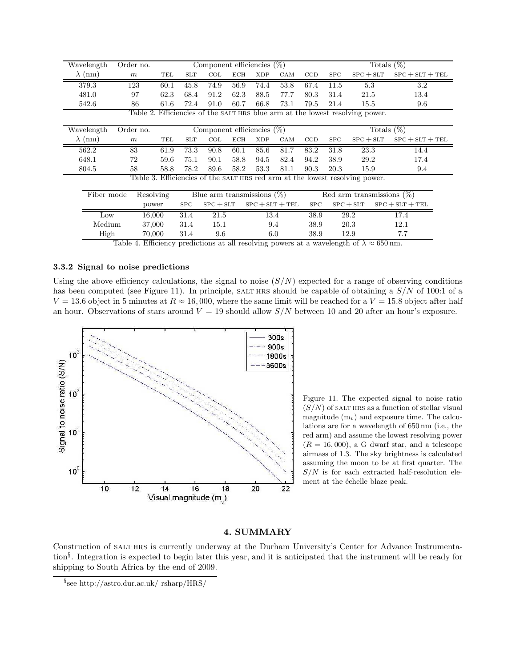| Wavelength                                                                    | Order no.                                                                    | Component efficiencies $(\%)$ |                               |             |            |                   |      | Totals $(\%)$                |               |                                                                                                                  |                   |  |
|-------------------------------------------------------------------------------|------------------------------------------------------------------------------|-------------------------------|-------------------------------|-------------|------------|-------------------|------|------------------------------|---------------|------------------------------------------------------------------------------------------------------------------|-------------------|--|
| $\lambda$ (nm)                                                                | m                                                                            | TEL                           | <b>SLT</b>                    | COL         | ECH        | <b>XDP</b>        | CAM  | CCD                          | SPC           | $SPC + SLT$                                                                                                      | $SPC + SLT + TEL$ |  |
| 379.3                                                                         | 123                                                                          | 60.1                          | 45.8                          | 74.9        | 56.9       | 74.4              | 53.8 | 67.4                         | 11.5          | 5.3                                                                                                              | 3.2               |  |
| 481.0                                                                         | 97                                                                           | 62.3                          | 68.4                          | 91.2        | 62.3       | 88.5              | 77.7 | 80.3                         | 31.4          | 21.5                                                                                                             | 13.4              |  |
| 542.6                                                                         | 86                                                                           | 61.6                          | 72.4                          | 91.0        | 60.7       | 66.8              | 73.1 | 79.5                         | 21.4          | 15.5                                                                                                             | 9.6               |  |
| Table 2. Efficiencies of the SALT HRS blue arm at the lowest resolving power. |                                                                              |                               |                               |             |            |                   |      |                              |               |                                                                                                                  |                   |  |
| Wavelength                                                                    | Order no.                                                                    |                               | Component efficiencies $(\%)$ |             |            |                   |      |                              | Totals $(\%)$ |                                                                                                                  |                   |  |
| $\lambda$ (nm)                                                                | m                                                                            | TEL                           | <b>SLT</b>                    | COL         | <b>ECH</b> | <b>XDP</b>        | CAM  | CCD                          | SPC           | $SPC + SLT$                                                                                                      | $SPC + SLT + TEL$ |  |
| 562.2                                                                         | 83                                                                           | 61.9                          | 73.3                          | 90.8        | 60.1       | 85.6              | 81.7 | 83.2                         | 31.8          | 23.3                                                                                                             | 14.4              |  |
| 648.1                                                                         | 72                                                                           | 59.6                          | 75.1                          | 90.1        | 58.8       | 94.5              | 82.4 | 94.2                         | 38.9          | 29.2                                                                                                             | 17.4              |  |
| 804.5                                                                         | 58                                                                           | 58.8                          | 78.2                          | 89.6        | 58.2       | 53.3              | 81.1 | 90.3                         | 20.3          | 15.9                                                                                                             | 9.4               |  |
| Table 3. Efficiencies of the SALT HRS red arm at the lowest resolving power.  |                                                                              |                               |                               |             |            |                   |      |                              |               |                                                                                                                  |                   |  |
| Fiber mode<br>Resolving                                                       |                                                                              |                               | Blue arm transmissions $(\%)$ |             |            |                   |      | Red arm transmissions $(\%)$ |               |                                                                                                                  |                   |  |
|                                                                               | power                                                                        |                               | SPC                           | $SPC + SLT$ |            | $SPC + SLT + TEL$ |      | SPC                          |               | $SPC + SLT$                                                                                                      | $SPC + SLT + TEL$ |  |
| Low                                                                           | 16,000                                                                       |                               | 31.4                          | 21.5        |            | 13.4              |      | 38.9                         |               | 29.2                                                                                                             | 17.4              |  |
| Medium                                                                        | 37,000                                                                       |                               | 31.4                          | 15.1        |            | 9.4               |      | 38.9                         |               | 20.3                                                                                                             | 12.1              |  |
| High                                                                          | 70,000<br>$\pi_{\alpha}$ <sub>b</sub> l <sub><math>\alpha</math></sub> $\pi$ |                               | 31.4                          | 9.6         |            | 6.0               |      | 38.9                         |               | 12.9<br>$\Gamma$ figure productions at all resolving persons at a wavelength of $\lambda \approx 650 \text{ nm}$ | 7.7               |  |

Table 4. Efficiency predictions at all resolving powers at a wavelength of  $\lambda \approx 650 \text{ nm}$ .

# 3.3.2 Signal to noise predictions

Using the above efficiency calculations, the signal to noise  $(S/N)$  expected for a range of observing conditions has been computed (see Figure 11). In principle, SALT HRS should be capable of obtaining a  $S/N$  of 100:1 of a  $V = 13.6$  object in 5 minutes at  $R \approx 16,000$ , where the same limit will be reached for a  $V = 15.8$  object after half an hour. Observations of stars around  $V = 19$  should allow  $S/N$  between 10 and 20 after an hour's exposure.



Figure 11. The expected signal to noise ratio  $(S/N)$  of SALT HRS as a function of stellar visual magnitude  $(m_v)$  and exposure time. The calculations are for a wavelength of 650 nm (i.e., the red arm) and assume the lowest resolving power  $(R = 16,000)$ , a G dwarf star, and a telescope airmass of 1.3. The sky brightness is calculated assuming the moon to be at first quarter. The  $S/N$  is for each extracted half-resolution element at the échelle blaze peak.

# 4. SUMMARY

Construction of salt hrs is currently underway at the Durham University's Center for Advance Instrumentation§ . Integration is expected to begin later this year, and it is anticipated that the instrument will be ready for shipping to South Africa by the end of 2009.

<sup>§</sup> see http://astro.dur.ac.uk/ rsharp/HRS/